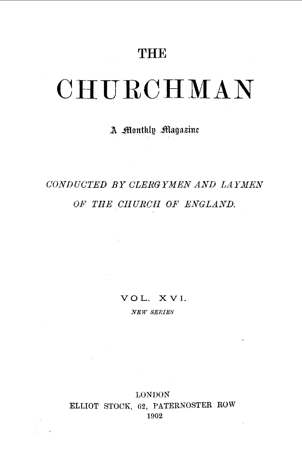## **THE**

# **CHURCHMAN**

### A Monthly Magazine

## *CONDUCTED BY CLERGYMEN AND LAYMEN OF THE CIIURCII OF ENGLAND.*

VOL. XVI.

*NEW SERIES* 

#### LONDON ELLIOT STOCK, 62, PATERNOSTER ROW 1902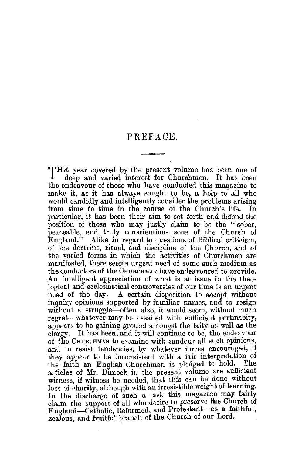#### PREFACE.

ffHE year covered by the present volume has been one of deep and varied interest for Churchmen. It has been the endeavour of those who have conducted this magazine to make it, as it has always sought to be, a help to all who would candidly and intelligently consider the problems arising from time to time in the course of the Church's life. In particular, it has been their aim to set forth and defend the position of those who may justly claim to be the "sober, peaceable, and truly conscientious sons of the Church of England." Alike in regard to questions of Biblical criticism, of the doctrine, ritual, and discipline of the Church, and of the varied forms in which the activities of Churchmen are manifested, there seems urgent need of some such medium as the conductors of the CHURCHMAN have endeavoured to provide. An intelligent appreciation of what is at issue in the theological and ecclesiastical controversies of our time is an urgent need of the day. A certain disposition to accept without inquiry opinions supported by familiar names, and to resign without a struggle-often also, it would seem, without much regret-whatever may be assailed with sufficient pertinacity, appears to be gaining ground amongst the laity as well as the dergy. It has been, and it will continue to be, the endeavour of the CHURCHMAN to examine with candour all such opinions, and to resist tendencies, by whatever forces encouraged, if they appear to be inconsistent with a fair interpretation of the faith an English Churchman is pledged to hold. The the faith an English Churchman is pledged to hold. articles of Mr. Dimock in the present volume are sufficient witness, if witness be needed, that this can be done without loss of charity, although with an irresistible weight of learning. In the discharge of such a task this magazine may fairly claim the support of all who desire to preserve the Church of England-Catholic, Reformed, and Protestant-as a faithful. zealous, and fruitful branch of the Church of our Lord. .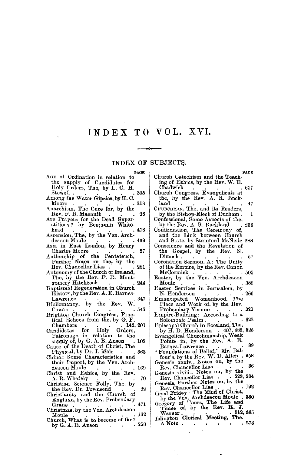## **INDEX TO VOL.** XVI,

#### INDEX OF SUBJECTS.

|                                                                              | PAGE    |
|------------------------------------------------------------------------------|---------|
| AGE of Ordination in relation to                                             |         |
| the supply of Candidates for                                                 |         |
| Holy Orders, The, by L. C. H.                                                |         |
| Stowell.<br>Among the Water Gipsies, by H. C. 305                            |         |
|                                                                              |         |
|                                                                              |         |
| Anarchism, The Cure for, by the                                              |         |
| Rev. F. B. Macnutt                                                           | -96     |
| Are Prayers for the Dead Superstitious? by Benjamin White-                   |         |
|                                                                              |         |
| head<br>Ascension, The, by the Ven. Arch-<br>deacon Moule                    | . 476   |
|                                                                              |         |
| deacon Moule<br>Asia in East London, by Henry                                | .489    |
|                                                                              |         |
| Charles Moore                                                                | $^{27}$ |
| Authorship of the Pentateuch,<br>Further Notes on the, by the                |         |
| Rev. Chancellor Lias                                                         |         |
|                                                                              | 281     |
| The, by the Rev. F. R. Mont-                                                 |         |
| gomery Hitchcock                                                             | 244     |
| gomery Hitchcock<br>Baptismal Regeneration in Church                         |         |
| History, by the Rov. A. E. Barnes-                                           |         |
| Lawrence                                                                     | 347     |
| Bibliomancy, by the Rev. W.                                                  |         |
| Cowan                                                                        | 542     |
|                                                                              |         |
| Brighton Church Congress, Practical Echoes from the, by G. F.                |         |
| 142, 201<br>Chambers                                                         |         |
| Chambers 142,<br>Candidates for Holy Orders,<br>Patronage in relation to the |         |
|                                                                              |         |
| supply of, by $G. A. B. Anson$ .                                             | 102     |
| Cause of the Death of Christ, The                                            |         |
| Physical, by Dr. J. Moir                                                     | 363     |
| China: Some Characteristics and                                              |         |
| their Import, by the Ven. Arch-                                              |         |
| deacon Moule                                                                 | 169     |
| Christ and Ethics, by the Rev.                                               |         |
| A. R. Whately                                                                | 70      |
| Christian Science Folly, The, by                                             |         |
| the Rev. Dr. Townsend                                                        | 82      |
| Christianity and the Church of                                               |         |
| England, by the Rev. Prebendary                                              |         |
| Grane                                                                        | 471     |
| Christmas, by the Ven. Archdeacon                                            | 162     |
| Moule<br>Church, What is to become of the?                                   |         |
| by G. A. B. Anson                                                            | 258     |
|                                                                              |         |
|                                                                              |         |

| PACE                                                                             |
|----------------------------------------------------------------------------------|
| Church Catechism and the Teach-                                                  |
|                                                                                  |
| ing of Ethics, by the Rev. W. E.                                                 |
| Chadwick<br>667                                                                  |
| Church Congress, Evangelicals at                                                 |
|                                                                                  |
| the, by the Rev. A. R. Buck-                                                     |
|                                                                                  |
| land<br>-47                                                                      |
| CHUBCHMAN, The, and its Readers,                                                 |
| by the Bishop-Elect of Durham.<br>1                                              |
|                                                                                  |
| Confessional, Some Aspects of the,                                               |
| by the Rev. A. R. Buckland<br>236                                                |
|                                                                                  |
| Confirmation, The Ceremony of,                                                   |
| and the Link between Church                                                      |
|                                                                                  |
| and State, by Stamford McNeile 288                                               |
| Conscience and the Revelation of                                                 |
|                                                                                  |
| the Gospel, by the Rev. N.                                                       |
| Dimock.<br>57                                                                    |
|                                                                                  |
| Coronation Sermon, A: The Unity                                                  |
| of the Empire, by the Rev. Canon                                                 |
|                                                                                  |
| McCormick<br>. 505                                                               |
| Easter, by the Ven. Archdeacon                                                   |
|                                                                                  |
| Moule<br>388                                                                     |
| Easter Services in Jerusalem, by                                                 |
| N. Henderson<br>266                                                              |
|                                                                                  |
| Emancipated Womanhood, The                                                       |
| Place and Work of, by the Rev.                                                   |
|                                                                                  |
| Prebendary Vernon<br>321<br>rrebendary Vernon<br>Empire-Building: According to a |
|                                                                                  |
|                                                                                  |
| 622<br>Solomonic Psalm.                                                          |
| Episcopal Church in Scotland, The,                                               |
|                                                                                  |
| by H.D. Henderson . 407, 485, 525                                                |
| Evangelical Churchmanship, Weak                                                  |
|                                                                                  |
| Points in, by the Rev. A. E.                                                     |
| 89<br>Barnes-Lawrence.                                                           |
| "Foundations of Belief," Mr. Bal-<br>four's, by the Rev. W. D. Allen. 358        |
|                                                                                  |
|                                                                                  |
| Genesis xxxiv., Notes on, by the                                                 |
| 36                                                                               |
| Rev. Chancellor Lias                                                             |
| Genesis xlviii., Notes on, by the                                                |
| Rev. Chancellor Lias . 529, 584                                                  |
|                                                                                  |
|                                                                                  |
| 192<br>Rev. Chancellor Lias                                                      |
| $\bullet$                                                                        |
| Good Friday: The Mind of Christ,                                                 |
| by the Ven. Archdescon Moule.<br>330                                             |
|                                                                                  |
| Gregory of Tours, The Life and<br>Times of, by the Rev. H. J.                    |
|                                                                                  |
| 312, 365                                                                         |
| . Warner                                                                         |
| Islington Clerical Meeting, The.                                                 |
| 273<br>A Note<br><b>All Contracts</b>                                            |
|                                                                                  |